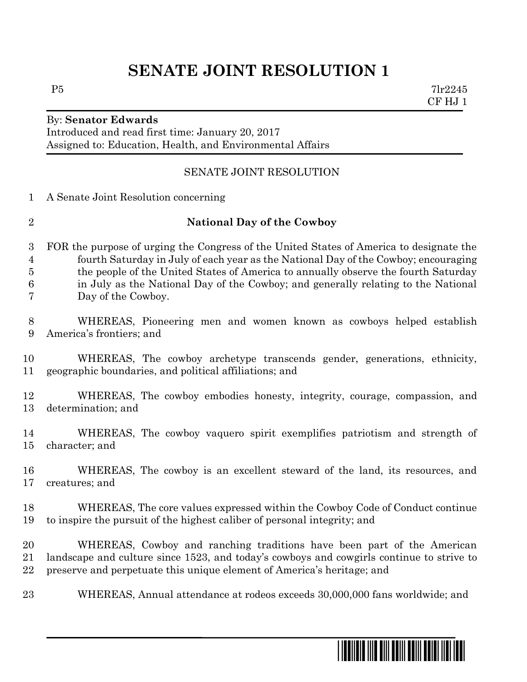## **SENATE JOINT RESOLUTION 1**

Introduced and read first time: January 20, 2017 Assigned to: Education, Health, and Environmental Affairs

## SENATE JOINT RESOLUTION

A Senate Joint Resolution concerning

## **National Day of the Cowboy**

 FOR the purpose of urging the Congress of the United States of America to designate the fourth Saturday in July of each year as the National Day of the Cowboy; encouraging the people of the United States of America to annually observe the fourth Saturday in July as the National Day of the Cowboy; and generally relating to the National Day of the Cowboy.

- WHEREAS, Pioneering men and women known as cowboys helped establish America's frontiers; and
- WHEREAS, The cowboy archetype transcends gender, generations, ethnicity, geographic boundaries, and political affiliations; and
- WHEREAS, The cowboy embodies honesty, integrity, courage, compassion, and determination; and
- WHEREAS, The cowboy vaquero spirit exemplifies patriotism and strength of character; and
- WHEREAS, The cowboy is an excellent steward of the land, its resources, and creatures; and
- WHEREAS, The core values expressed within the Cowboy Code of Conduct continue to inspire the pursuit of the highest caliber of personal integrity; and
- WHEREAS, Cowboy and ranching traditions have been part of the American landscape and culture since 1523, and today's cowboys and cowgirls continue to strive to preserve and perpetuate this unique element of America's heritage; and
- WHEREAS, Annual attendance at rodeos exceeds 30,000,000 fans worldwide; and

\*sj0001\*